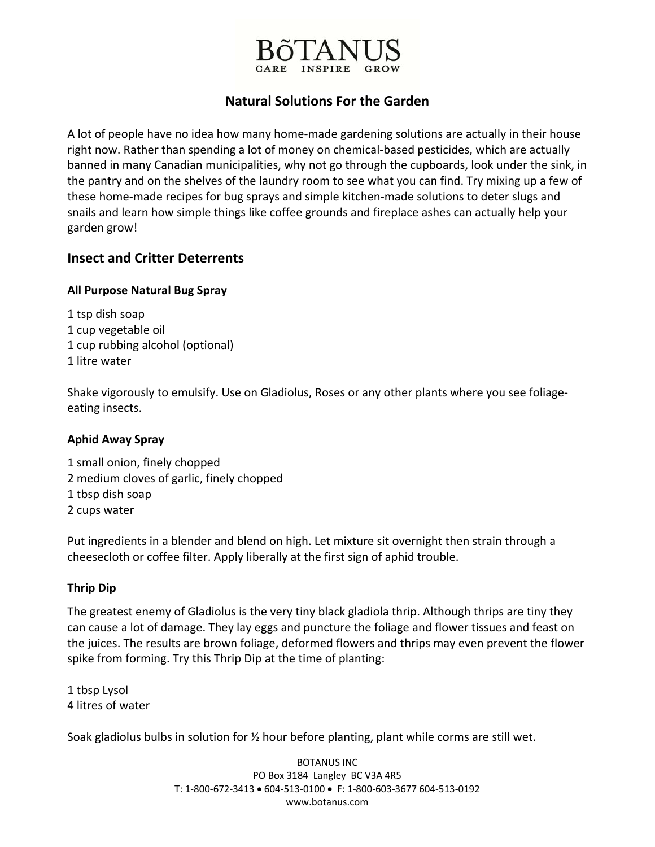

## **Natural Solutions For the Garden**

A lot of people have no idea how many home‐made gardening solutions are actually in their house right now. Rather than spending a lot of money on chemical‐based pesticides, which are actually banned in many Canadian municipalities, why not go through the cupboards, look under the sink, in the pantry and on the shelves of the laundry room to see what you can find. Try mixing up a few of these home‐made recipes for bug sprays and simple kitchen‐made solutions to deter slugs and snails and learn how simple things like coffee grounds and fireplace ashes can actually help your garden grow!

## **Insect and Critter Deterrents**

## **All Purpose Natural Bug Spray**

 tsp dish soap cup vegetable oil cup rubbing alcohol (optional) litre water

Shake vigorously to emulsify. Use on Gladiolus, Roses or any other plants where you see foliage‐ eating insects.

## **Aphid Away Spray**

 small onion, finely chopped medium cloves of garlic, finely chopped tbsp dish soap cups water

Put ingredients in a blender and blend on high. Let mixture sit overnight then strain through a cheesecloth or coffee filter. Apply liberally at the first sign of aphid trouble.

## **Thrip Dip**

The greatest enemy of Gladiolus is the very tiny black gladiola thrip. Although thrips are tiny they can cause a lot of damage. They lay eggs and puncture the foliage and flower tissues and feast on the juices. The results are brown foliage, deformed flowers and thrips may even prevent the flower spike from forming. Try this Thrip Dip at the time of planting:

1 tbsp Lysol 4 litres of water

Soak gladiolus bulbs in solution for ½ hour before planting, plant while corms are still wet.

BOTANUS INC PO Box 3184 Langley BC V3A 4R5 T: 1‐800‐672‐3413 • 604‐513‐0100 • F: 1‐800‐603‐3677 604‐513‐0192 www.botanus.com